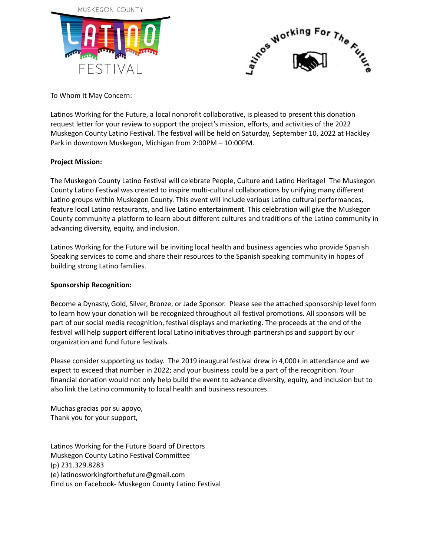



To Whom It May Concern:

Latinos Working for the Future, a local nonprofit collaborative, is pleased to present this donation request letter for your review to support the project's mission, efforts, and activities of the 2022 Muskegon County Latino Festival. The festival will be held on Saturday, September 10, 2022 at Hackley Park in downtown Muskegon, Michigan from 2:00PM – 10:00PM.

### **Project Mission:**

The Muskegon County Latino Festival will celebrate People, Culture and Latino Heritage! The Muskegon County Latino Festival was created to inspire multi‐cultural collaborations by unifying many different Latino groups within Muskegon County. This event will include various Latino cultural performances, feature local Latino restaurants, and live Latino entertainment. This celebration will give the Muskegon County community a platform to learn about different cultures and traditions of the Latino community in advancing diversity, equity, and inclusion.

Latinos Working for the Future will be inviting local health and business agencies who provide Spanish Speaking services to come and share their resources to the Spanish speaking community in hopes of building strong Latino families.

#### **Sponsorship Recognition:**

Become a Dynasty, Gold, Silver, Bronze, or Jade Sponsor. Please see the attached sponsorship level form to learn how your donation will be recognized throughout all festival promotions. All sponsors will be part of our social media recognition, festival displays and marketing. The proceeds at the end of the festival will help support different local Latino initiatives through partnerships and support by our organization and fund future festivals.

Please consider supporting us today. The 2019 inaugural festival drew in 4,000+ in attendance and we expect to exceed that number in 2022; and your business could be a part of the recognition. Your financial donation would not only help build the event to advance diversity, equity, and inclusion but to also link the Latino community to local health and business resources.

Muchas gracias por su apoyo, Thank you for your support,

Latinos Working for the Future Board of Directors Muskegon County Latino Festival Committee (p) 231.329.8283 (e) latinosworkingforthefuture@gmail.com Find us on Facebook- Muskegon County Latino Festival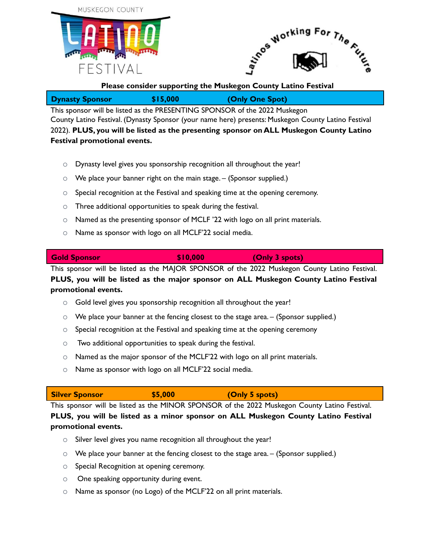



## **Please consider supporting the Muskegon County Latino Festival**

| \$15,000<br><b>Dynasty Sponsor</b> | (Only One Spot) |
|------------------------------------|-----------------|
|------------------------------------|-----------------|

This sponsor will be listed as the PRESENTING SPONSOR of the 2022 Muskegon County Latino Festival. (Dynasty Sponsor (your name here) presents: Muskegon County Latino Festival 2022). **PLUS, you will be listed as the presenting sponsor on ALL Muskegon County Latino Festival promotional events.**

- o Dynasty level gives you sponsorship recognition all throughout the year!
- $\circ$  We place your banner right on the main stage. (Sponsor supplied.)
- o Special recognition at the Festival and speaking time at the opening ceremony.
- o Three additional opportunities to speak during the festival.
- o Named as the presenting sponsor of MCLF '22 with logo on all print materials.
- o Name as sponsor with logo on all MCLF'22 social media.

**Gold Sponsor \$10,000 (Only 3 spots)**

This sponsor will be listed as the MAJOR SPONSOR of the 2022 Muskegon County Latino Festival. **PLUS, you will be listed as the major sponsor on ALL Muskegon County Latino Festival promotional events.**

- o Gold level gives you sponsorship recognition all throughout the year!
- $\circ$  We place your banner at the fencing closest to the stage area. (Sponsor supplied.)
- $\circ$  Special recognition at the Festival and speaking time at the opening ceremony
- o Two additional opportunities to speak during the festival.
- o Named as the major sponsor of the MCLF'22 with logo on all print materials.
- o Name as sponsor with logo on all MCLF'22 social media.

**Silver Sponsor \$5,000 (Only 5 spots)** This sponsor will be listed as the MINOR SPONSOR of the 2022 Muskegon County Latino Festival.

**PLUS, you will be listed as a minor sponsor on ALL Muskegon County Latino Festival promotional events.**

- $\circ$  Silver level gives you name recognition all throughout the year!
- $\circ$  We place your banner at the fencing closest to the stage area. (Sponsor supplied.)
- o Special Recognition at opening ceremony.
- o One speaking opportunity during event.
- o Name as sponsor (no Logo) of the MCLF'22 on all print materials.